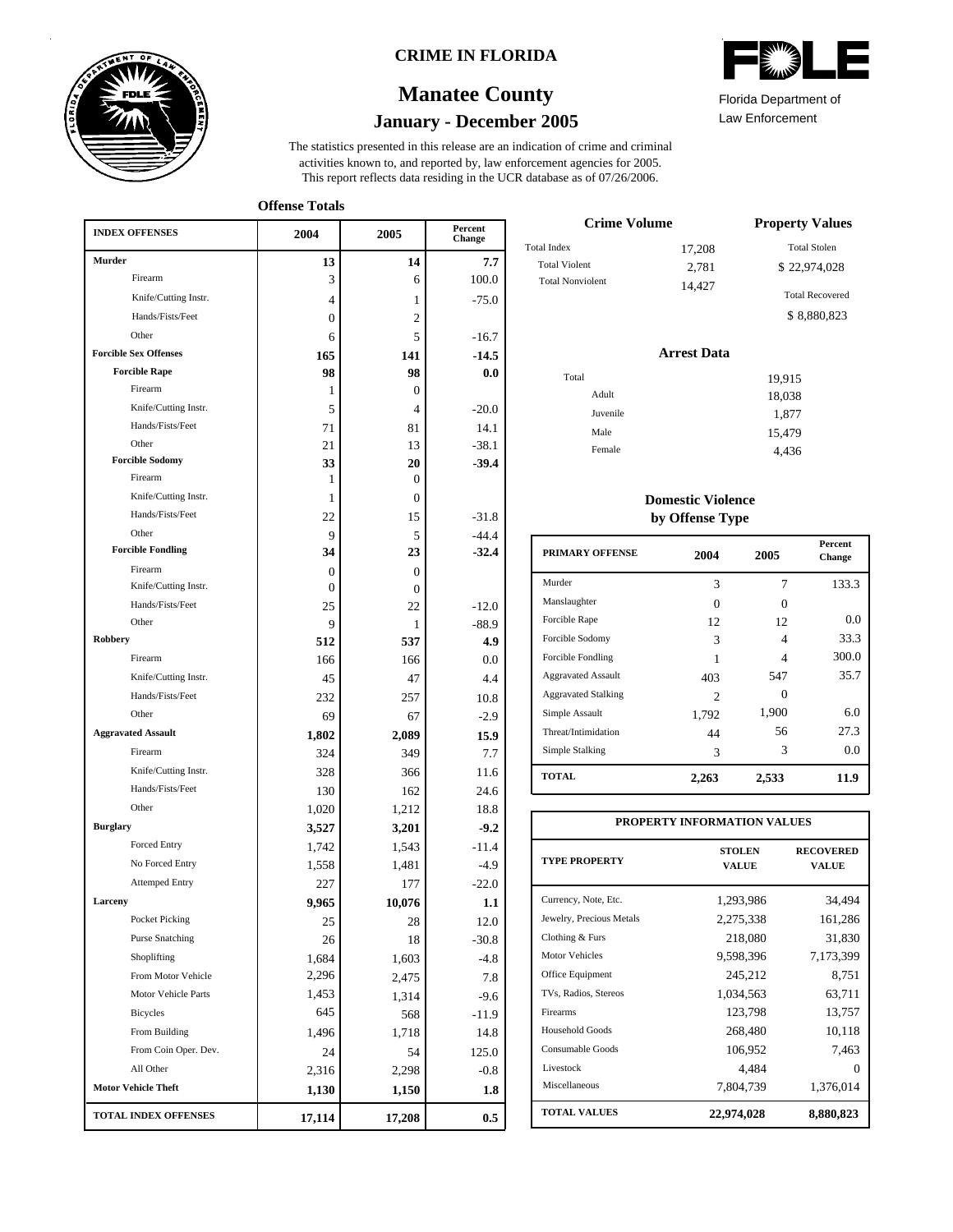

### **CRIME IN FLORIDA**

# **January - December 2005 Manatee County**

This report reflects data residing in the UCR database as of 07/26/2006. activities known to, and reported by, law enforcement agencies for 2005. The statistics presented in this release are an indication of crime and criminal

**Offense Totals**

| <b>INDEX OFFENSES</b>        | 2004           | 2005           | Percent<br>Change |
|------------------------------|----------------|----------------|-------------------|
| Murder                       | 13             | 14             | 7.7               |
| Firearm                      | 3              | 6              | 100.0             |
| Knife/Cutting Instr.         | 4              | 1              | $-75.0$           |
| Hands/Fists/Feet             | 0              | 2              |                   |
| Other                        | 6              | 5              | $-16.7$           |
| <b>Forcible Sex Offenses</b> | 165            | 141            | $-14.5$           |
| <b>Forcible Rape</b>         | 98             | 98             | 0.0               |
| Firearm                      | 1              | 0              |                   |
| Knife/Cutting Instr.         | 5              | 4              | $-20.0$           |
| Hands/Fists/Feet             | 71             | 81             | 14.1              |
| Other                        | 21             | 13             | $-38.1$           |
| <b>Forcible Sodomy</b>       | 33             | 20             | $-39.4$           |
| Firearm                      | 1              | 0              |                   |
| Knife/Cutting Instr.         | 1              | $\overline{0}$ |                   |
| Hands/Fists/Feet             | 22             | 15             | $-31.8$           |
| Other                        | 9              | 5              | $-44.4$           |
| <b>Forcible Fondling</b>     | 34             | 23             | $-32.4$           |
| Firearm                      | $\overline{0}$ | $\theta$       |                   |
| Knife/Cutting Instr.         | $\Omega$       | 0              |                   |
| Hands/Fists/Feet             | 25             | 22             | $-12.0$           |
| Other                        | 9              | 1              | $-88.9$           |
| Robbery                      | 512            | 537            | 4.9               |
| Firearm                      | 166            | 166            | 0.0               |
| Knife/Cutting Instr.         | 45             | 47             | 4.4               |
| Hands/Fists/Feet             | 232            | 257            | 10.8              |
| Other                        | 69             | 67             | $-2.9$            |
| <b>Aggravated Assault</b>    | 1,802          | 2,089          | 15.9              |
| Firearm                      | 324            | 349            | 7.7               |
| Knife/Cutting Instr.         | 328            | 366            | 11.6              |
| Hands/Fists/Feet             | 130            | 162            | 24.6              |
| Other                        | 1,020          | 1,212          | 18.8              |
| <b>Burglary</b>              | 3,527          | 3,201          | $-9.2$            |
| <b>Forced Entry</b>          | 1,742          | 1,543          | $-11.4$           |
| No Forced Entry              | 1,558          | 1,481          | $-4.9$            |
| <b>Attemped Entry</b>        | 227            | 177            | $-22.0$           |
| Larceny                      | 9,965          | 10,076         | 1.1               |
| Pocket Picking               | 25             | 28             | $12.0\,$          |
| <b>Purse Snatching</b>       | 26             | 18             | $-30.8$           |
| Shoplifting                  | 1,684          | 1,603          | -4.8              |
| From Motor Vehicle           | 2,296          | 2,475          | 7.8               |
| Motor Vehicle Parts          | 1,453          | 1,314          | $-9.6$            |
| Bicycles                     | 645            | 568            | $-11.9$           |
| From Building                | 1,496          | 1,718          | 14.8              |
| From Coin Oper. Dev.         | 24             | 54             | 125.0             |
| All Other                    | 2,316          | 2,298          | $-0.8$            |
| <b>Motor Vehicle Theft</b>   | 1,130          | 1,150          | 1.8               |
| TOTAL INDEX OFFENSES         | 17,114         | 17,208         | $0.5\,$           |

| $\mathbb{Z}$          |  |
|-----------------------|--|
| Florida Denartment of |  |

Law Enforcement Florida Department of

| <b>Crime Volume</b>     | <b>Property Values</b> |                        |
|-------------------------|------------------------|------------------------|
| <b>Total Index</b>      | 17,208                 | <b>Total Stolen</b>    |
| <b>Total Violent</b>    | 2,781                  | \$22,974,028           |
| <b>Total Nonviolent</b> | 14.427                 | <b>Total Recovered</b> |
|                         |                        | \$8,880,823            |

#### **Arrest Data**

| Total    | 19,915 |
|----------|--------|
| Adult    | 18,038 |
| Juvenile | 1,877  |
| Male     | 15,479 |
| Female   | 4,436  |
|          |        |

### **Domestic Violence by Offense Type**

| <b>PRIMARY OFFENSE</b>     | 2004     | 2005  | <b>Percent</b><br>Change |
|----------------------------|----------|-------|--------------------------|
| Murder                     | 3        | 7     | 133.3                    |
| Manslaughter               | $\Omega$ | 0     |                          |
| Forcible Rape              | 12       | 12    | 0.0                      |
| Forcible Sodomy            | 3        | 4     | 33.3                     |
| Forcible Fondling          | 1        | 4     | 300.0                    |
| <b>Aggravated Assault</b>  | 403      | 547   | 35.7                     |
| <b>Aggravated Stalking</b> | 2        | 0     |                          |
| Simple Assault             | 1,792    | 1,900 | 6.0                      |
| Threat/Intimidation        | 44       | 56    | 27.3                     |
| Simple Stalking            | 3        | 3     | 0.0                      |
| <b>TOTAL</b>               | 2,263    | 2,533 | 11.9                     |

| PROPERTY INFORMATION VALUES |                               |                           |  |  |  |  |  |
|-----------------------------|-------------------------------|---------------------------|--|--|--|--|--|
| <b>TYPE PROPERTY</b>        | <b>STOLEN</b><br><b>VALUE</b> | <b>RECOVERED</b><br>VALUE |  |  |  |  |  |
| Currency, Note, Etc.        | 1,293,986                     | 34,494                    |  |  |  |  |  |
| Jewelry, Precious Metals    | 2,275,338                     | 161,286                   |  |  |  |  |  |
| Clothing & Furs             | 218,080                       | 31,830                    |  |  |  |  |  |
| Motor Vehicles              | 9,598,396                     | 7,173,399                 |  |  |  |  |  |
| Office Equipment            | 245,212                       | 8,751                     |  |  |  |  |  |
| TVs, Radios, Stereos        | 1,034,563                     | 63,711                    |  |  |  |  |  |
| Firearms                    | 123,798                       | 13,757                    |  |  |  |  |  |
| Household Goods             | 268,480                       | 10,118                    |  |  |  |  |  |
| Consumable Goods            | 106,952                       | 7,463                     |  |  |  |  |  |
| Livestock                   | 4.484                         | 0                         |  |  |  |  |  |
| Miscellaneous               | 7,804,739                     | 1,376,014                 |  |  |  |  |  |
| <b>TOTAL VALUES</b>         | 22,974,028                    | 8,880,823                 |  |  |  |  |  |